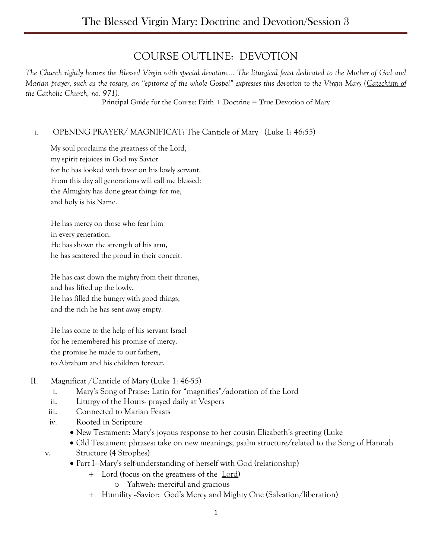# COURSE OUTLINE: DEVOTION

*The Church rightly honors the Blessed Virgin with special devotion…. The liturgical feast dedicated to the Mother of God and Marian prayer, such as the rosary, an "epitome of the whole Gospel" expresses this devotion to the Virgin Mary (Catechism of the Catholic Church, no. 971).*

Principal Guide for the Course: Faith + Doctrine = True Devotion of Mary

## I. OPENING PRAYER/ MAGNIFICAT: The Canticle of Mary (Luke 1: 46:55)

My soul proclaims the greatness of the Lord, my spirit rejoices in God my Savior for he has looked with favor on his lowly servant. From this day all generations will call me blessed: the Almighty has done great things for me, and holy is his Name.

He has mercy on those who fear him in every generation. He has shown the strength of his arm, he has scattered the proud in their conceit.

He has cast down the mighty from their thrones, and has lifted up the lowly. He has filled the hungry with good things, and the rich he has sent away empty.

He has come to the help of his servant Israel for he remembered his promise of mercy, the promise he made to our fathers, to Abraham and his children forever.

- II. Magnificat /Canticle of Mary (Luke 1: 46-55)
	- i. Mary's Song of Praise: Latin for "magnifies"/adoration of the Lord
	- ii. Liturgy of the Hours- prayed daily at Vespers
	- iii. Connected to Marian Feasts
	- iv. Rooted in Scripture
		- New Testament: Mary's joyous response to her cousin Elizabeth's greeting (Luke
	- Old Testament phrases: take on new meanings; psalm structure/related to the Song of Hannah v. Structure (4 Strophes)
		- Part I—Mary's self-understanding of herself with God (relationship)
			- Lord (focus on the greatness of the Lord)
				- o Yahweh: merciful and gracious
			- + Humility ~Savior: God's Mercy and Mighty One (Salvation/liberation)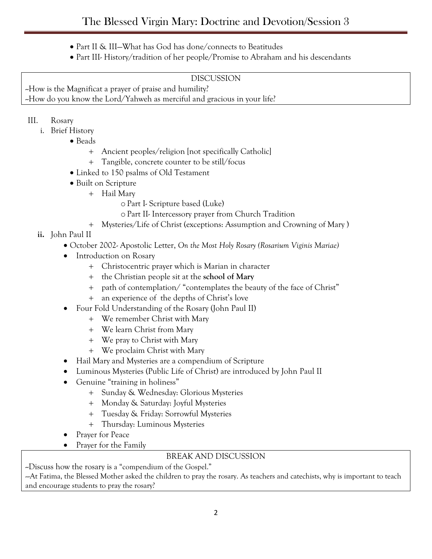- Part II & III—What has God has done/connects to Beatitudes
- Part III- History/tradition of her people/Promise to Abraham and his descendants

#### DISCUSSION

--How is the Magnificat a prayer of praise and humility? --How do you know the Lord/Yahweh as merciful and gracious in your life?

- III. Rosary
	- i. Brief History
		- Beads
			- Ancient peoples/religion [not specifically Catholic]
			- Tangible, concrete counter to be still/focus
		- Linked to 150 psalms of Old Testament
		- Built on Scripture
			- + Hail Mary
				- oPart I- Scripture based (Luke)
				- oPart II- Intercessory prayer from Church Tradition
				- Mysteries/Life of Christ (exceptions: Assumption and Crowning of Mary )
	- **ii.** John Paul II
		- October 2002- Apostolic Letter, *On the Most Holy Rosary (Rosarium Viginis Mariae)*
		- Introduction on Rosary
			- Christocentric prayer which is Marian in character
			- the Christian people sit at the **school of Mary**
			- path of contemplation/ "contemplates the beauty of the face of Christ"
			- an experience of the depths of Christ's love
		- Four Fold Understanding of the Rosary (John Paul II)
			- We remember Christ with Mary
			- We learn Christ from Mary
			- We pray to Christ with Mary
			- We proclaim Christ with Mary
		- Hail Mary and Mysteries are a compendium of Scripture
		- Luminous Mysteries (Public Life of Christ) are introduced by John Paul II
		- Genuine "training in holiness"
			- Sunday & Wednesday: Glorious Mysteries
			- Monday & Saturday: Joyful Mysteries
			- Tuesday & Friday: Sorrowful Mysteries
			- Thursday: Luminous Mysteries
		- Prayer for Peace
		- Prayer for the Family

## BREAK AND DISCUSSION

--Discuss how the rosary is a "compendium of the Gospel."

--At Fatima, the Blessed Mother asked the children to pray the rosary. As teachers and catechists, why is important to teach and encourage students to pray the rosary?